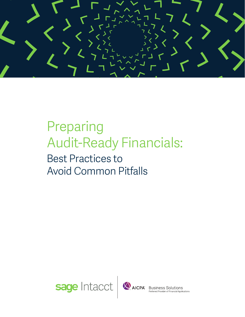

# Preparing Audit-Ready Financials:

## Best Practices to Avoid Common Pitfalls

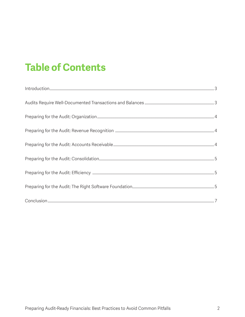### **Table of Contents**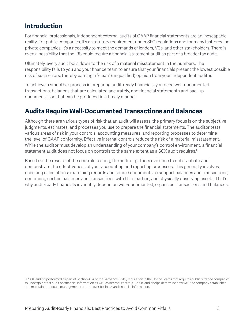#### <span id="page-2-0"></span>**Introduction**

For financial professionals, independent external audits of GAAP financial statements are an inescapable reality. For public companies, it's a statutory requirement under SEC regulations and for many fast-growing private companies, it's a necessity to meet the demands of lenders, VCs, and other stakeholders. There is even a possibility that the IRS could require a financial statement audit as part of a broader tax audit.

Ultimately, every audit boils down to the risk of a material misstatement in the numbers. The responsibility falls to you and your finance team to ensure that your financials present the lowest possible risk of such errors, thereby earning a "clean" (unqualified) opinion from your independent auditor.

To achieve a smoother process in preparing audit-ready financials, you need well-documented transactions, balances that are calculated accurately, and financial statements and backup documentation that can be produced in a timely manner.

#### **Audits Require Well-Documented Transactions and Balances**

Although there are various types of risk that an audit will assess, the primary focus is on the subjective judgments, estimates, and processes you use to prepare the financial statements. The auditor tests various areas of risk in your controls, accounting measures, and reporting processes to determine the level of GAAP conformity. Effective internal controls reduce the risk of a material misstatement. While the auditor must develop an understanding of your company's control environment, a financial statement audit does not focus on controls to the same extent as a SOX audit requires.<sup>1</sup>

Based on the results of the controls testing, the auditor gathers evidence to substantiate and demonstrate the effectiveness of your accounting and reporting processes. This generally involves checking calculations; examining records and source documents to support balances and transactions; confirming certain balances and transactions with third parties; and physically observing assets. That's why audit-ready financials invariably depend on well-documented, organized transactions and balances.

1 A SOX audit is performed as part of Section 404 of the Sarbanes-Oxley legislation in the United States that requires publicly traded companies to undergo a strict audit on financial information as well as internal controls. A SOX audit helps determine how well the company establishes and maintains adequate management controls over business and financial information.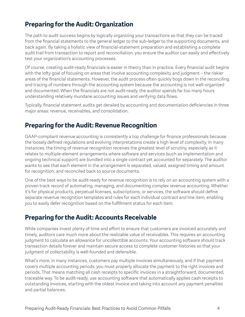### <span id="page-3-0"></span>**Preparing for the Audit: Organization**

The path to audit success begins by logically organizing your transactions so that they can be traced from the financial statements to the general ledger to the sub-ledger to the supporting documents, and back again. By taking a holistic view of financial-statement preparation and establishing a complete audit trail from transaction to report and reconciliation, you ensure the auditor can easily and effectively test your organization's accounting processes.

Of course, creating audit-ready financials is easier in theory than in practice. Every financial audit begins with the lofty goal of focusing on areas that involve accounting complexity and judgment – the riskier areas of the financial statements. However, the audit process often quickly bogs down in the reconciling and tracing of numbers through the accounting system because the accounting is not well-organized and documented. When the financials are not audit-ready, the auditor spends far too many hours understanding relatively mundane accounting issues and verifying data flows.

Typically, financial statement audits get derailed by accounting and documentation deficiencies in three major areas: revenue, receivables, and consolidation.

#### **Preparing for the Audit: Revenue Recognition**

GAAP-compliant revenue accounting is consistently a top challenge for finance professionals because the loosely defined regulations and evolving interpretations create a high level of complexity. In many instances, the timing of revenue recognition receives the greatest level of scrutiny, especially as it relates to multiple-element arrangements where software and services (such as implementation and ongoing technical support) are bundled into a single contract yet accounted for separately. The auditor wants to see that each element in the arrangement is separated, valued, assigned timing and amount for recognition, and reconciled back to source documents.

One of the best ways to be audit-ready for revenue recognition is to rely on an accounting system with a proven track record of automating, managing, and documenting complex revenue accounting. Whether it's for physical products, perpetual licenses, subscriptions, or services, the software should define separate revenue recognition templates and rules for each individual contract and line item, enabling you to easily defer recognition based on the fulfillment status for each item.

#### **Preparing for the Audit: Accounts Receivable**

While companies invest plenty of time and effort to ensure that customers are invoiced accurately and timely, auditors care much more about the realizable value of receivables. This requires an accounting judgment to calculate an allowance for uncollectible accounts. Your accounting software should track transaction details forever and maintain secure access to complete customer histories so that your judgment of collectability is well-founded and defensible.

What's more, in many instances, customers pay multiple invoices simultaneously, and if that payment covers multiple accounting periods, you must properly allocate the payment to the right invoices and periods. That means matching all cash receipts to specific invoices in a straightforward, documented, traceable way. To be audit-ready, use accounting software that automatically applies cash receipts to outstanding invoices, starting with the oldest invoice and taking into account any payment penalties and partial balances.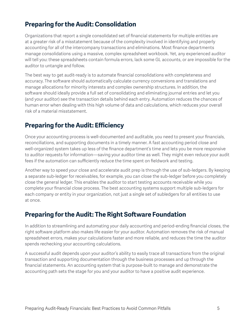### <span id="page-4-0"></span>**Preparing for the Audit: Consolidation**

Organizations that report a single consolidated set of financial statements for multiple entities are at a greater risk of a misstatement because of the complexity involved in identifying and properly accounting for all of the intercompany transactions and eliminations. Most finance departments manage consolidations using a massive, complex spreadsheet workbook. Yet, any experienced auditor will tell you: these spreadsheets contain formula errors, lack some GL accounts, or are impossible for the auditor to untangle and follow.

The best way to get audit-ready is to automate financial consolidations with completeness and accuracy. The software should automatically calculate currency conversions and translations and manage allocations for minority interests and complex ownership structures. In addition, the software should ideally provide a full set of consolidating and eliminating journal entries and let you (and your auditor) see the transaction details behind each entry. Automation reduces the chances of human error when dealing with this high volume of data and calculations, which reduces your overall risk of a material misstatement.

#### **Preparing for the Audit: Efficiency**

Once your accounting process is well-documented and auditable, you need to present your financials, reconciliations, and supporting documents in a timely manner. A fast accounting period close and well-organized system takes up less of the finance department's time and lets you be more responsive to auditor requests for information—saving your auditor time as well. They might even reduce your audit fees if the automation can sufficiently reduce the time spent on fieldwork and testing.

Another way to speed your close and accelerate audit prep is through the use of sub-ledgers. By keeping a separate sub-ledger for receivables, for example, you can close the sub-ledger before you completely close the general ledger. This enables the auditor to start testing accounts receivable while you complete your financial close process. The best accounting systems support multiple sub-ledgers for each company or entity in your organization, not just a single set of subledgers for all entities to use at once.

#### **Preparing for the Audit: The Right Software Foundation**

In addition to streamlining and automating your daily accounting and period-ending financial closes, the right software platform also makes life easier for your auditor. Automation removes the risk of manual spreadsheet errors, makes your calculations faster and more reliable, and reduces the time the auditor spends rechecking your accounting calculations.

A successful audit depends upon your auditor's ability to easily trace all transactions from the original transaction and supporting documentation through the business processes and up through the financial statements. An accounting system that is purpose-built to manage and demonstrate the accounting path sets the stage for you and your auditor to have a positive audit experience.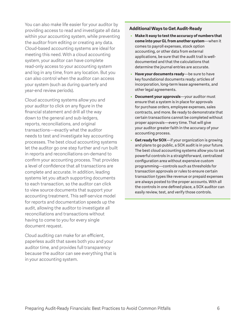You can also make life easier for your auditor by providing access to read and investigate all data within your accounting system, while preventing the auditor from editing or creating any data. Cloud-based accounting systems are ideal for meeting this need. With a cloud accounting system, your auditor can have complete read-only access to your accounting system and log in any time, from any location. But you can also control when the auditor can access your system (such as during quarterly and year-end review periods).

Cloud accounting systems allow you and your auditor to click on any figure in the financial statement and drill all the way down to the general and sub-ledgers, reports, reconciliations, and original transactions—exactly what the auditor needs to test and investigate key accounting processes. The best cloud accounting systems let the auditor go one step further and run built in reports and reconciliations on-demand to confirm your accounting process. That provides a level of confidence that all transactions are complete and accurate. In addition, leading systems let you attach supporting documents to each transaction, so the auditor can click to view source documents that support your accounting treatment. This self-service model for reports and documentation speeds up the audit, allowing the auditor to investigate all reconciliations and transactions without having to come to you for every single document request.

Cloud auditing can make for an efficient, paperless audit that saves both you and your auditor time, and provides full transparency because the auditor can see everything that is in your accounting system.

#### **Additional Ways to Get Audit-Ready**

- **• Make it easy to test the accuracy of numbers that come into your GL from another system**—when it comes to payroll expenses, stock option accounting, or other data from external applications, be sure that the audit trail is welldocumented and that the calculations that determine the journal entries are accurate.
- **• Have your documents ready**—be sure to have key foundational documents ready: articles of incorporation, long-term lease agreements, and other legal agreements.
- **• Document your approvals**—your auditor must ensure that a system is in place for approvals for purchase orders, employee expenses, sales contracts, and more. Be ready to demonstrate that certain transactions cannot be completed without proper approvals—every time. That will give your auditor greater faith in the accuracy of your accounting process.
- **• Get ready for SOX**—if your organization is growing and plans to go public, a SOX audit is in your future. The best cloud accounting systems allow you to set powerful controls in a straightforward, centralized configuration area without expensive custom programming—controls such as thresholds for transaction approvals or rules to ensure certain transaction types like revenue or prepaid expenses are always posted to the proper accounts. With all the controls in one defined place, a SOX auditor can easily review, test, and verify those controls.